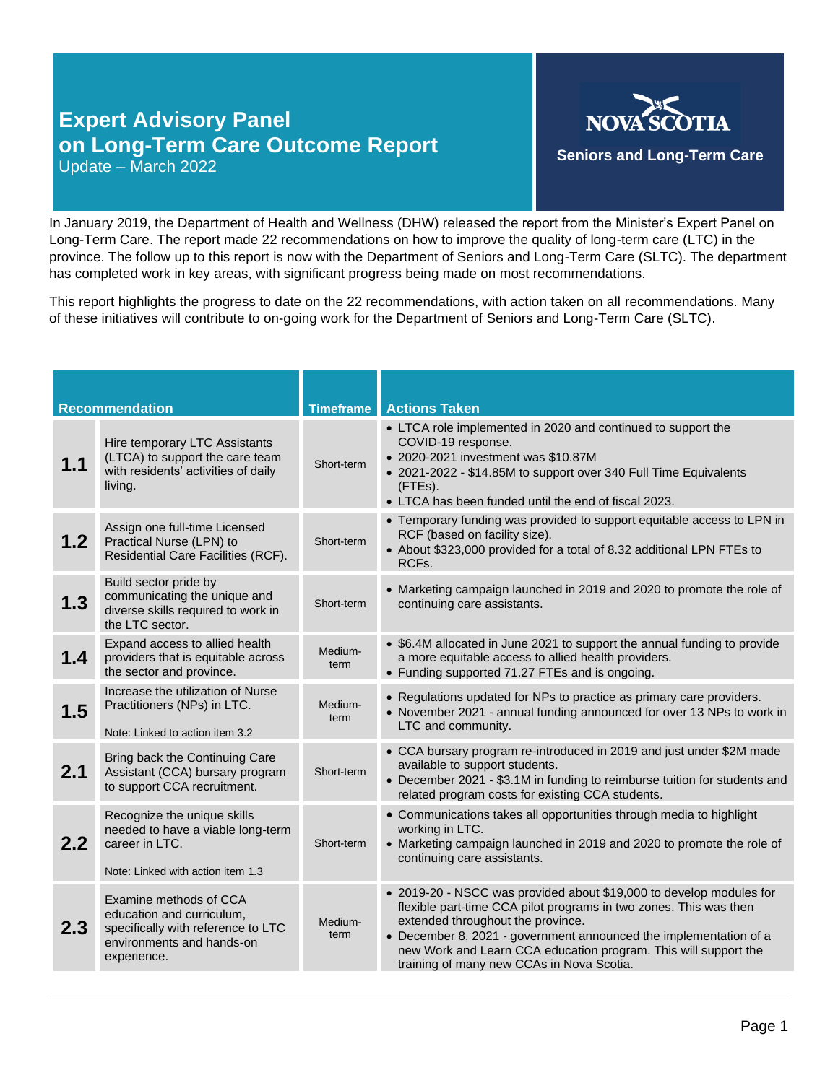## **Expert Advisory Panel on Long-Term Care Outcome Report** Update – March 2022



In January 2019, the Department of Health and Wellness (DHW) released the report from the Minister's Expert Panel on Long-Term Care. The report made 22 recommendations on how to improve the quality of long-term care (LTC) in the province. The follow up to this report is now with the Department of Seniors and Long-Term Care (SLTC). The department has completed work in key areas, with significant progress being made on most recommendations.

This report highlights the progress to date on the 22 recommendations, with action taken on all recommendations. Many of these initiatives will contribute to on-going work for the Department of Seniors and Long-Term Care (SLTC).

| <b>Recommendation</b> |                                                                                                                                       | <b>Timeframe</b> | <b>Actions Taken</b>                                                                                                                                                                                                                                                                                                                                               |
|-----------------------|---------------------------------------------------------------------------------------------------------------------------------------|------------------|--------------------------------------------------------------------------------------------------------------------------------------------------------------------------------------------------------------------------------------------------------------------------------------------------------------------------------------------------------------------|
| 1.1                   | Hire temporary LTC Assistants<br>(LTCA) to support the care team<br>with residents' activities of daily<br>living.                    | Short-term       | • LTCA role implemented in 2020 and continued to support the<br>COVID-19 response.<br>• 2020-2021 investment was \$10.87M<br>• 2021-2022 - \$14.85M to support over 340 Full Time Equivalents<br>(FTEs).<br>• LTCA has been funded until the end of fiscal 2023.                                                                                                   |
| 1.2                   | Assign one full-time Licensed<br>Practical Nurse (LPN) to<br>Residential Care Facilities (RCF).                                       | Short-term       | • Temporary funding was provided to support equitable access to LPN in<br>RCF (based on facility size).<br>• About \$323,000 provided for a total of 8.32 additional LPN FTEs to<br>RCF <sub>s</sub> .                                                                                                                                                             |
| 1.3                   | Build sector pride by<br>communicating the unique and<br>diverse skills required to work in<br>the LTC sector.                        | Short-term       | • Marketing campaign launched in 2019 and 2020 to promote the role of<br>continuing care assistants.                                                                                                                                                                                                                                                               |
| 1.4                   | Expand access to allied health<br>providers that is equitable across<br>the sector and province.                                      | Medium-<br>term  | • \$6.4M allocated in June 2021 to support the annual funding to provide<br>a more equitable access to allied health providers.<br>• Funding supported 71.27 FTEs and is ongoing.                                                                                                                                                                                  |
| 1.5                   | Increase the utilization of Nurse<br>Practitioners (NPs) in LTC.<br>Note: Linked to action item 3.2                                   | Medium-<br>term  | • Regulations updated for NPs to practice as primary care providers.<br>• November 2021 - annual funding announced for over 13 NPs to work in<br>LTC and community.                                                                                                                                                                                                |
| 2.1                   | Bring back the Continuing Care<br>Assistant (CCA) bursary program<br>to support CCA recruitment.                                      | Short-term       | • CCA bursary program re-introduced in 2019 and just under \$2M made<br>available to support students.<br>• December 2021 - \$3.1M in funding to reimburse tuition for students and<br>related program costs for existing CCA students.                                                                                                                            |
| 2.2                   | Recognize the unique skills<br>needed to have a viable long-term<br>career in LTC.<br>Note: Linked with action item 1.3               | Short-term       | • Communications takes all opportunities through media to highlight<br>working in LTC.<br>• Marketing campaign launched in 2019 and 2020 to promote the role of<br>continuing care assistants.                                                                                                                                                                     |
| 2.3                   | Examine methods of CCA<br>education and curriculum,<br>specifically with reference to LTC<br>environments and hands-on<br>experience. | Medium-<br>term  | • 2019-20 - NSCC was provided about \$19,000 to develop modules for<br>flexible part-time CCA pilot programs in two zones. This was then<br>extended throughout the province.<br>• December 8, 2021 - government announced the implementation of a<br>new Work and Learn CCA education program. This will support the<br>training of many new CCAs in Nova Scotia. |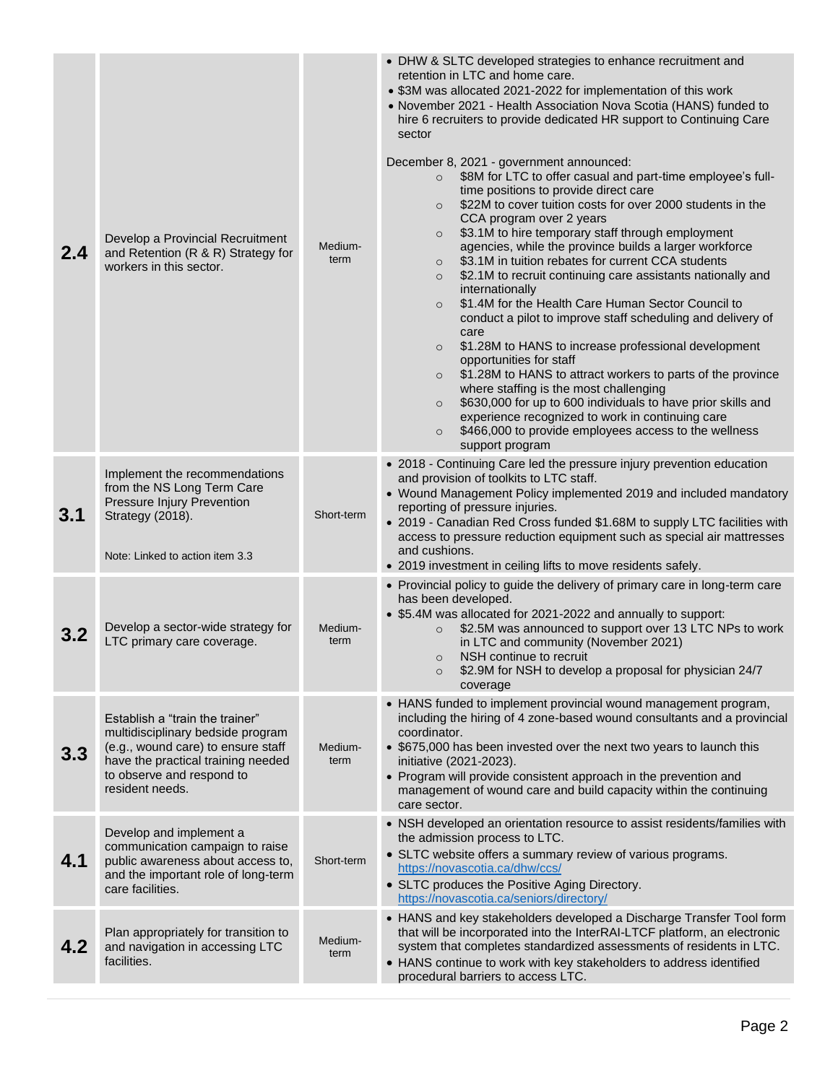| 2.4 | Develop a Provincial Recruitment<br>and Retention (R & R) Strategy for<br>workers in this sector.                                                                                                | Medium-<br>term | • DHW & SLTC developed strategies to enhance recruitment and<br>retention in LTC and home care.<br>• \$3M was allocated 2021-2022 for implementation of this work<br>• November 2021 - Health Association Nova Scotia (HANS) funded to<br>hire 6 recruiters to provide dedicated HR support to Continuing Care<br>sector<br>December 8, 2021 - government announced:<br>\$8M for LTC to offer casual and part-time employee's full-<br>$\circ$<br>time positions to provide direct care<br>\$22M to cover tuition costs for over 2000 students in the<br>$\circ$<br>CCA program over 2 years<br>\$3.1M to hire temporary staff through employment<br>$\circ$<br>agencies, while the province builds a larger workforce<br>\$3.1M in tuition rebates for current CCA students<br>$\circ$<br>\$2.1M to recruit continuing care assistants nationally and<br>$\circ$<br>internationally<br>\$1.4M for the Health Care Human Sector Council to<br>$\circ$<br>conduct a pilot to improve staff scheduling and delivery of<br>care<br>\$1.28M to HANS to increase professional development<br>$\circ$<br>opportunities for staff<br>\$1.28M to HANS to attract workers to parts of the province<br>$\circ$<br>where staffing is the most challenging<br>\$630,000 for up to 600 individuals to have prior skills and<br>$\circ$<br>experience recognized to work in continuing care<br>\$466,000 to provide employees access to the wellness<br>$\circ$<br>support program |
|-----|--------------------------------------------------------------------------------------------------------------------------------------------------------------------------------------------------|-----------------|----------------------------------------------------------------------------------------------------------------------------------------------------------------------------------------------------------------------------------------------------------------------------------------------------------------------------------------------------------------------------------------------------------------------------------------------------------------------------------------------------------------------------------------------------------------------------------------------------------------------------------------------------------------------------------------------------------------------------------------------------------------------------------------------------------------------------------------------------------------------------------------------------------------------------------------------------------------------------------------------------------------------------------------------------------------------------------------------------------------------------------------------------------------------------------------------------------------------------------------------------------------------------------------------------------------------------------------------------------------------------------------------------------------------------------------------------------------------|
| 3.1 | Implement the recommendations<br>from the NS Long Term Care<br>Pressure Injury Prevention<br>Strategy (2018).<br>Note: Linked to action item 3.3                                                 | Short-term      | • 2018 - Continuing Care led the pressure injury prevention education<br>and provision of toolkits to LTC staff.<br>• Wound Management Policy implemented 2019 and included mandatory<br>reporting of pressure injuries.<br>• 2019 - Canadian Red Cross funded \$1.68M to supply LTC facilities with<br>access to pressure reduction equipment such as special air mattresses<br>and cushions.<br>• 2019 investment in ceiling lifts to move residents safely.                                                                                                                                                                                                                                                                                                                                                                                                                                                                                                                                                                                                                                                                                                                                                                                                                                                                                                                                                                                                       |
| 3.2 | Develop a sector-wide strategy for<br>LTC primary care coverage.                                                                                                                                 | Medium-<br>term | • Provincial policy to guide the delivery of primary care in long-term care<br>has been developed.<br>• \$5.4M was allocated for 2021-2022 and annually to support:<br>\$2.5M was announced to support over 13 LTC NPs to work<br>$\circ$<br>in LTC and community (November 2021)<br>NSH continue to recruit<br>$\circ$<br>\$2.9M for NSH to develop a proposal for physician 24/7<br>coverage                                                                                                                                                                                                                                                                                                                                                                                                                                                                                                                                                                                                                                                                                                                                                                                                                                                                                                                                                                                                                                                                       |
| 3.3 | Establish a "train the trainer"<br>multidisciplinary bedside program<br>(e.g., wound care) to ensure staff<br>have the practical training needed<br>to observe and respond to<br>resident needs. | Medium-<br>term | • HANS funded to implement provincial wound management program,<br>including the hiring of 4 zone-based wound consultants and a provincial<br>coordinator.<br>• \$675,000 has been invested over the next two years to launch this<br>initiative (2021-2023).<br>• Program will provide consistent approach in the prevention and<br>management of wound care and build capacity within the continuing<br>care sector.                                                                                                                                                                                                                                                                                                                                                                                                                                                                                                                                                                                                                                                                                                                                                                                                                                                                                                                                                                                                                                               |
| 4.1 | Develop and implement a<br>communication campaign to raise<br>public awareness about access to,<br>and the important role of long-term<br>care facilities.                                       | Short-term      | • NSH developed an orientation resource to assist residents/families with<br>the admission process to LTC.<br>• SLTC website offers a summary review of various programs.<br>https://novascotia.ca/dhw/ccs/<br>• SLTC produces the Positive Aging Directory.<br>https://novascotia.ca/seniors/directory/                                                                                                                                                                                                                                                                                                                                                                                                                                                                                                                                                                                                                                                                                                                                                                                                                                                                                                                                                                                                                                                                                                                                                             |
| 4.2 | Plan appropriately for transition to<br>and navigation in accessing LTC<br>facilities.                                                                                                           | Medium-<br>term | • HANS and key stakeholders developed a Discharge Transfer Tool form<br>that will be incorporated into the InterRAI-LTCF platform, an electronic<br>system that completes standardized assessments of residents in LTC.<br>• HANS continue to work with key stakeholders to address identified<br>procedural barriers to access LTC.                                                                                                                                                                                                                                                                                                                                                                                                                                                                                                                                                                                                                                                                                                                                                                                                                                                                                                                                                                                                                                                                                                                                 |